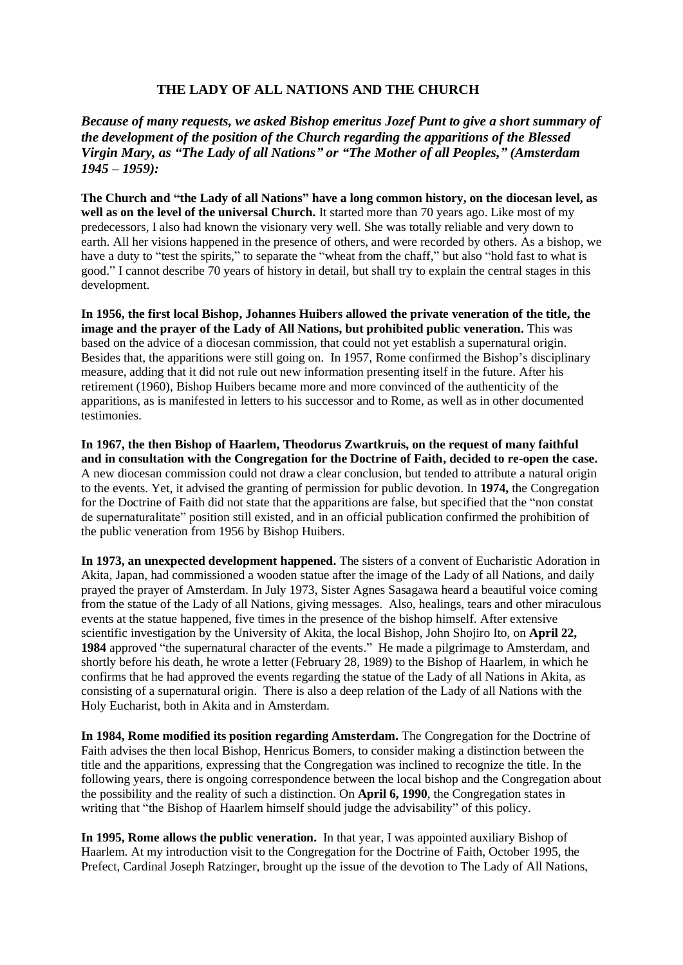## **THE LADY OF ALL NATIONS AND THE CHURCH**

*Because of many requests, we asked Bishop emeritus Jozef Punt to give a short summary of the development of the position of the Church regarding the apparitions of the Blessed Virgin Mary, as "The Lady of all Nations" or "The Mother of all Peoples," (Amsterdam 1945 – 1959):*

**The Church and "the Lady of all Nations" have a long common history, on the diocesan level, as well as on the level of the universal Church.** It started more than 70 years ago. Like most of my predecessors, I also had known the visionary very well. She was totally reliable and very down to earth. All her visions happened in the presence of others, and were recorded by others. As a bishop, we have a duty to "test the spirits," to separate the "wheat from the chaff," but also "hold fast to what is good." I cannot describe 70 years of history in detail, but shall try to explain the central stages in this development.

**In 1956, the first local Bishop, Johannes Huibers allowed the private veneration of the title, the image and the prayer of the Lady of All Nations, but prohibited public veneration.** This was based on the advice of a diocesan commission, that could not yet establish a supernatural origin. Besides that, the apparitions were still going on. In 1957, Rome confirmed the Bishop's disciplinary measure, adding that it did not rule out new information presenting itself in the future. After his retirement (1960), Bishop Huibers became more and more convinced of the authenticity of the apparitions, as is manifested in letters to his successor and to Rome, as well as in other documented testimonies.

**In 1967, the then Bishop of Haarlem, Theodorus Zwartkruis, on the request of many faithful and in consultation with the Congregation for the Doctrine of Faith, decided to re-open the case.**  A new diocesan commission could not draw a clear conclusion, but tended to attribute a natural origin to the events. Yet, it advised the granting of permission for public devotion. In **1974,** the Congregation for the Doctrine of Faith did not state that the apparitions are false, but specified that the "non constat de supernaturalitate" position still existed, and in an official publication confirmed the prohibition of the public veneration from 1956 by Bishop Huibers.

**In 1973, an unexpected development happened.** The sisters of a convent of Eucharistic Adoration in Akita, Japan, had commissioned a wooden statue after the image of the Lady of all Nations, and daily prayed the prayer of Amsterdam. In July 1973, Sister Agnes Sasagawa heard a beautiful voice coming from the statue of the Lady of all Nations, giving messages. Also, healings, tears and other miraculous events at the statue happened, five times in the presence of the bishop himself. After extensive scientific investigation by the University of Akita, the local Bishop, John Shojiro Ito, on **April 22, 1984** approved "the supernatural character of the events." He made a pilgrimage to Amsterdam, and shortly before his death, he wrote a letter (February 28, 1989) to the Bishop of Haarlem, in which he confirms that he had approved the events regarding the statue of the Lady of all Nations in Akita, as consisting of a supernatural origin. There is also a deep relation of the Lady of all Nations with the Holy Eucharist, both in Akita and in Amsterdam.

**In 1984, Rome modified its position regarding Amsterdam.** The Congregation for the Doctrine of Faith advises the then local Bishop, Henricus Bomers, to consider making a distinction between the title and the apparitions, expressing that the Congregation was inclined to recognize the title. In the following years, there is ongoing correspondence between the local bishop and the Congregation about the possibility and the reality of such a distinction. On **April 6, 1990**, the Congregation states in writing that "the Bishop of Haarlem himself should judge the advisability" of this policy.

**In 1995, Rome allows the public veneration.** In that year, I was appointed auxiliary Bishop of Haarlem. At my introduction visit to the Congregation for the Doctrine of Faith, October 1995, the Prefect, Cardinal Joseph Ratzinger, brought up the issue of the devotion to The Lady of All Nations,